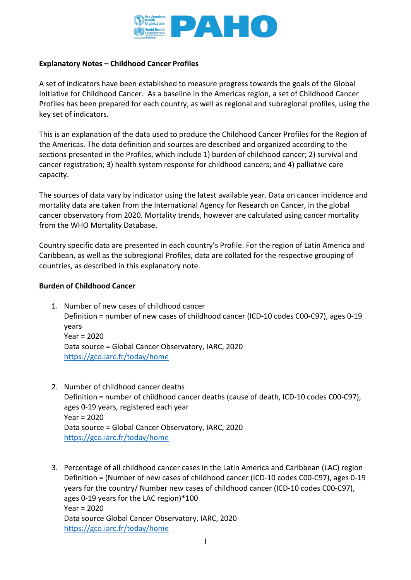

## **Explanatory Notes – Childhood Cancer Profiles**

A set of indicators have been established to measure progress towards the goals of the Global Initiative for Childhood Cancer. As a baseline in the Americas region, a set of Childhood Cancer Profiles has been prepared for each country, as well as regional and subregional profiles, using the key set of indicators.

This is an explanation of the data used to produce the Childhood Cancer Profiles for the Region of the Americas. The data definition and sources are described and organized according to the sections presented in the Profiles, which include 1) burden of childhood cancer; 2) survival and cancer registration; 3) health system response for childhood cancers; and 4) palliative care capacity.

The sources of data vary by indicator using the latest available year. Data on cancer incidence and mortality data are taken from the International Agency for Research on Cancer, in the global cancer observatory from 2020. Mortality trends, however are calculated using cancer mortality from the WHO Mortality Database.

Country specific data are presented in each country's Profile. For the region of Latin America and Caribbean, as well as the subregional Profiles, data are collated for the respective grouping of countries, as described in this explanatory note.

#### **Burden of Childhood Cancer**

- 1. Number of new cases of childhood cancer Definition = number of new cases of childhood cancer (ICD-10 codes C00-C97), ages 0-19 years Year = 2020 Data source = Global Cancer Observatory, IARC, 2020 <https://gco.iarc.fr/today/home>
- 2. Number of childhood cancer deaths Definition = number of childhood cancer deaths (cause of death, ICD-10 codes C00-C97), ages 0-19 years, registered each year Year = 2020 Data source = Global Cancer Observatory, IARC, 2020 <https://gco.iarc.fr/today/home>
- 3. Percentage of all childhood cancer cases in the Latin America and Caribbean (LAC) region Definition = (Number of new cases of childhood cancer (ICD-10 codes C00-C97), ages 0-19 years for the country/ Number new cases of childhood cancer (ICD-10 codes C00-C97), ages 0-19 years for the LAC region)\*100 Year = 2020 Data source Global Cancer Observatory, IARC, 2020 <https://gco.iarc.fr/today/home>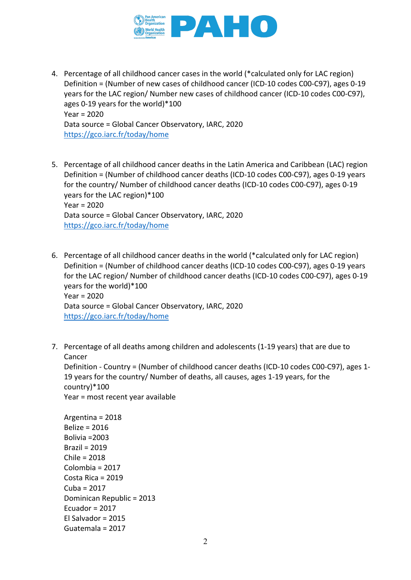

- 4. Percentage of all childhood cancer cases in the world (\*calculated only for LAC region) Definition = (Number of new cases of childhood cancer (ICD-10 codes C00-C97), ages 0-19 years for the LAC region/ Number new cases of childhood cancer (ICD-10 codes C00-C97), ages 0-19 years for the world)\*100 Year = 2020 Data source = Global Cancer Observatory, IARC, 2020 <https://gco.iarc.fr/today/home>
- 5. Percentage of all childhood cancer deaths in the Latin America and Caribbean (LAC) region Definition = (Number of childhood cancer deaths (ICD-10 codes C00-C97), ages 0-19 years for the country/ Number of childhood cancer deaths (ICD-10 codes C00-C97), ages 0-19 years for the LAC region)\*100 Year = 2020 Data source = Global Cancer Observatory, IARC, 2020 <https://gco.iarc.fr/today/home>
- 6. Percentage of all childhood cancer deaths in the world (\*calculated only for LAC region) Definition = (Number of childhood cancer deaths (ICD-10 codes C00-C97), ages 0-19 years for the LAC region/ Number of childhood cancer deaths (ICD-10 codes C00-C97), ages 0-19 years for the world)\*100 Year = 2020 Data source = Global Cancer Observatory, IARC, 2020 <https://gco.iarc.fr/today/home>
- 7. Percentage of all deaths among children and adolescents (1-19 years) that are due to Cancer

Definition - Country = (Number of childhood cancer deaths (ICD-10 codes C00-C97), ages 1- 19 years for the country/ Number of deaths, all causes, ages 1-19 years, for the country)\*100 Year = most recent year available

Argentina = 2018 Belize = 2016 Bolivia =2003 Brazil = 2019 Chile = 2018 Colombia = 2017 Costa Rica = 2019 Cuba = 2017 Dominican Republic = 2013 Ecuador = 2017 El Salvador = 2015 Guatemala = 2017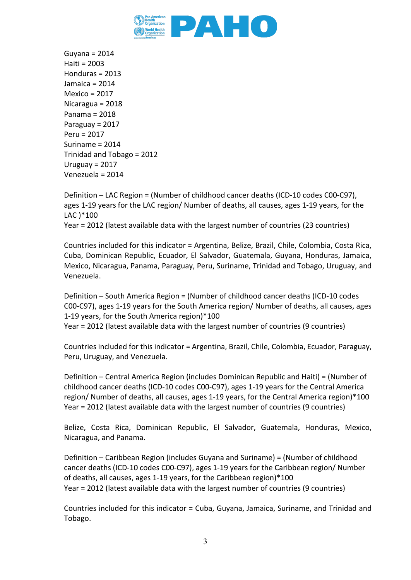

Guyana = 2014 Haiti = 2003 Honduras = 2013 Jamaica = 2014 Mexico = 2017 Nicaragua = 2018 Panama = 2018 Paraguay = 2017 Peru = 2017 Suriname = 2014 Trinidad and Tobago = 2012 Uruguay = 2017 Venezuela = 2014

Definition – LAC Region = (Number of childhood cancer deaths (ICD-10 codes C00-C97), ages 1-19 years for the LAC region/ Number of deaths, all causes, ages 1-19 years, for the LAC )\*100

Year = 2012 (latest available data with the largest number of countries (23 countries)

Countries included for this indicator = Argentina, Belize, Brazil, Chile, Colombia, Costa Rica, Cuba, Dominican Republic, Ecuador, El Salvador, Guatemala, Guyana, Honduras, Jamaica, Mexico, Nicaragua, Panama, Paraguay, Peru, Suriname, Trinidad and Tobago, Uruguay, and Venezuela.

Definition – South America Region = (Number of childhood cancer deaths (ICD-10 codes C00-C97), ages 1-19 years for the South America region/ Number of deaths, all causes, ages 1-19 years, for the South America region)\*100 Year = 2012 (latest available data with the largest number of countries (9 countries)

Countries included for this indicator = Argentina, Brazil, Chile, Colombia, Ecuador, Paraguay, Peru, Uruguay, and Venezuela.

Definition – Central America Region (includes Dominican Republic and Haiti) = (Number of childhood cancer deaths (ICD-10 codes C00-C97), ages 1-19 years for the Central America region/ Number of deaths, all causes, ages 1-19 years, for the Central America region)\*100 Year = 2012 (latest available data with the largest number of countries (9 countries)

Belize, Costa Rica, Dominican Republic, El Salvador, Guatemala, Honduras, Mexico, Nicaragua, and Panama.

Definition – Caribbean Region (includes Guyana and Suriname) = (Number of childhood cancer deaths (ICD-10 codes C00-C97), ages 1-19 years for the Caribbean region/ Number of deaths, all causes, ages 1-19 years, for the Caribbean region)\*100 Year = 2012 (latest available data with the largest number of countries (9 countries)

Countries included for this indicator = Cuba, Guyana, Jamaica, Suriname, and Trinidad and Tobago.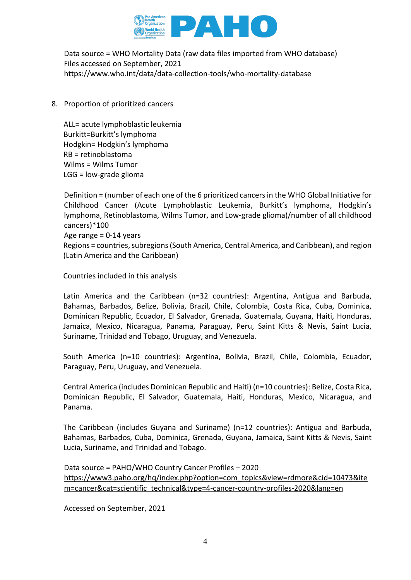

Data source = WHO Mortality Data (raw data files imported from WHO database) Files accessed on September, 2021 <https://www.who.int/data/data-collection-tools/who-mortality-database>

8. Proportion of prioritized cancers

ALL= acute lymphoblastic leukemia Burkitt=Burkitt's lymphoma Hodgkin= Hodgkin's lymphoma RB = retinoblastoma Wilms = Wilms Tumor LGG = low-grade glioma

Definition = (number of each one of the 6 prioritized cancers in the WHO Global Initiative for Childhood Cancer (Acute Lymphoblastic Leukemia, Burkitt's lymphoma, Hodgkin's lymphoma, Retinoblastoma, Wilms Tumor, and Low-grade glioma)/number of all childhood cancers)\*100 Age range  $= 0-14$  years Regions = countries, subregions (South America, Central America, and Caribbean), and region (Latin America and the Caribbean)

Countries included in this analysis

Latin America and the Caribbean (n=32 countries): Argentina, Antigua and Barbuda, Bahamas, Barbados, Belize, Bolivia, Brazil, Chile, Colombia, Costa Rica, Cuba, Dominica, Dominican Republic, Ecuador, El Salvador, Grenada, Guatemala, Guyana, Haiti, Honduras, Jamaica, Mexico, Nicaragua, Panama, Paraguay, Peru, Saint Kitts & Nevis, Saint Lucia, Suriname, Trinidad and Tobago, Uruguay, and Venezuela.

South America (n=10 countries): Argentina, Bolivia, Brazil, Chile, Colombia, Ecuador, Paraguay, Peru, Uruguay, and Venezuela.

Central America (includes Dominican Republic and Haiti) (n=10 countries): Belize, Costa Rica, Dominican Republic, El Salvador, Guatemala, Haiti, Honduras, Mexico, Nicaragua, and Panama.

The Caribbean (includes Guyana and Suriname) (n=12 countries): Antigua and Barbuda, Bahamas, Barbados, Cuba, Dominica, Grenada, Guyana, Jamaica, Saint Kitts & Nevis, Saint Lucia, Suriname, and Trinidad and Tobago.

Data source = PAHO/WHO Country Cancer Profiles – 2020 [https://www3.paho.org/hq/index.php?option=com\\_topics&view=rdmore&cid=10473&ite](https://www3.paho.org/hq/index.php?option=com_topics&view=rdmore&cid=10473&item=cancer&cat=scientific_technical&type=4-cancer-country-profiles-2020&lang=en) [m=cancer&cat=scientific\\_technical&type=4-cancer-country-profiles-2020&lang=en](https://www3.paho.org/hq/index.php?option=com_topics&view=rdmore&cid=10473&item=cancer&cat=scientific_technical&type=4-cancer-country-profiles-2020&lang=en)

Accessed on September, 2021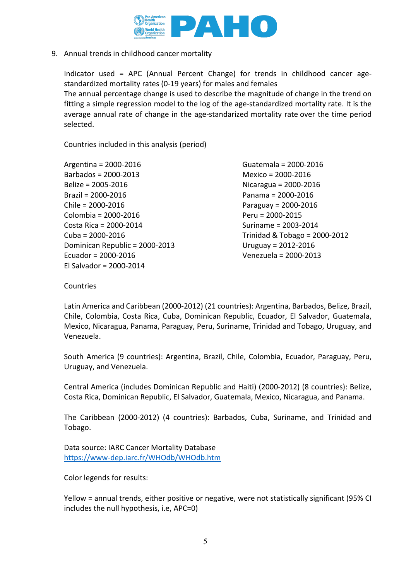

9. Annual trends in childhood cancer mortality

Indicator used = APC (Annual Percent Change) for trends in childhood cancer agestandardized mortality rates (0-19 years) for males and females The annual percentage change is used to describe the magnitude of change in the trend on fitting a simple regression model to the log of the age-standardized mortality rate. It is the average annual rate of change in the age-standarized mortality rate over the time period selected.

Countries included in this analysis (period)

Argentina = 2000-2016 Barbados = 2000-2013 Belize = 2005-2016 Brazil = 2000-2016 Chile = 2000-2016 Colombia = 2000-2016 Costa Rica = 2000-2014 Cuba = 2000-2016 Dominican Republic = 2000-2013 Ecuador = 2000-2016 El Salvador = 2000-2014

Guatemala = 2000-2016 Mexico = 2000-2016 Nicaragua = 2000-2016 Panama = 2000-2016 Paraguay = 2000-2016 Peru = 2000-2015 Suriname = 2003-2014 Trinidad & Tobago = 2000-2012 Uruguay = 2012-2016 Venezuela = 2000-2013

Countries

Latin America and Caribbean (2000-2012) (21 countries): Argentina, Barbados, Belize, Brazil, Chile, Colombia, Costa Rica, Cuba, Dominican Republic, Ecuador, El Salvador, Guatemala, Mexico, Nicaragua, Panama, Paraguay, Peru, Suriname, Trinidad and Tobago, Uruguay, and Venezuela.

South America (9 countries): Argentina, Brazil, Chile, Colombia, Ecuador, Paraguay, Peru, Uruguay, and Venezuela.

Central America (includes Dominican Republic and Haiti) (2000-2012) (8 countries): Belize, Costa Rica, Dominican Republic, El Salvador, Guatemala, Mexico, Nicaragua, and Panama.

The Caribbean (2000-2012) (4 countries): Barbados, Cuba, Suriname, and Trinidad and Tobago.

Data source: IARC Cancer Mortality Database <https://www-dep.iarc.fr/WHOdb/WHOdb.htm>

Color legends for results:

Yellow = annual trends, either positive or negative, were not statistically significant (95% CI includes the null hypothesis, i.e, APC=0)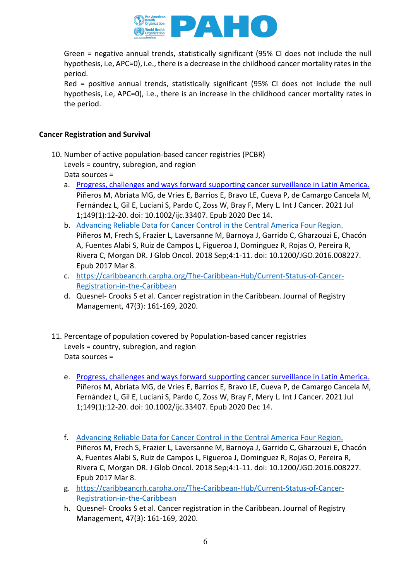

Green = negative annual trends, statistically significant (95% CI does not include the null hypothesis, i.e, APC=0), i.e., there is a decrease in the childhood cancer mortality rates in the period.

Red = positive annual trends, statistically significant (95% CI does not include the null hypothesis, i.e, APC=0), i.e., there is an increase in the childhood cancer mortality rates in the period.

# **Cancer Registration and Survival**

- 10. Number of active population-based cancer registries (PCBR) Levels = country, subregion, and region Data sources =
	- a. [Progress, challenges and ways forward supporting cancer surveillance in Latin America.](https://pubmed.ncbi.nlm.nih.gov/33231289/)  Piñeros M, Abriata MG, de Vries E, Barrios E, Bravo LE, Cueva P, de Camargo Cancela M, Fernández L, Gil E, Luciani S, Pardo C, Zoss W, Bray F, Mery L. Int J Cancer. 2021 Jul 1;149(1):12-20. doi: 10.1002/ijc.33407. Epub 2020 Dec 14.
	- b. [Advancing Reliable Data for Cancer Control in the Central America Four Region.](https://pubmed.ncbi.nlm.nih.gov/30241165/)  Piñeros M, Frech S, Frazier L, Laversanne M, Barnoya J, Garrido C, Gharzouzi E, Chacón A, Fuentes Alabi S, Ruiz de Campos L, Figueroa J, Dominguez R, Rojas O, Pereira R, Rivera C, Morgan DR. J Glob Oncol. 2018 Sep;4:1-11. doi: 10.1200/JGO.2016.008227. Epub 2017 Mar 8.
	- c. [https://caribbeancrh.carpha.org/The-Caribbean-Hub/Current-Status-of-Cancer-](https://caribbeancrh.carpha.org/The-Caribbean-Hub/Current-Status-of-Cancer-Registration-in-the-Caribbean)[Registration-in-the-Caribbean](https://caribbeancrh.carpha.org/The-Caribbean-Hub/Current-Status-of-Cancer-Registration-in-the-Caribbean)
	- d. Quesnel- Crooks S et al. Cancer registration in the Caribbean. Journal of Registry Management, 47(3): 161-169, 2020.
- 11. Percentage of population covered by Population-based cancer registries Levels = country, subregion, and region Data sources =
	- e. [Progress, challenges and ways forward supporting cancer surveillance in Latin America.](https://pubmed.ncbi.nlm.nih.gov/33231289/)  Piñeros M, Abriata MG, de Vries E, Barrios E, Bravo LE, Cueva P, de Camargo Cancela M, Fernández L, Gil E, Luciani S, Pardo C, Zoss W, Bray F, Mery L. Int J Cancer. 2021 Jul 1;149(1):12-20. doi: 10.1002/ijc.33407. Epub 2020 Dec 14.
	- f. [Advancing Reliable Data for Cancer Control in the Central America Four Region.](https://pubmed.ncbi.nlm.nih.gov/30241165/)  Piñeros M, Frech S, Frazier L, Laversanne M, Barnoya J, Garrido C, Gharzouzi E, Chacón A, Fuentes Alabi S, Ruiz de Campos L, Figueroa J, Dominguez R, Rojas O, Pereira R, Rivera C, Morgan DR. J Glob Oncol. 2018 Sep;4:1-11. doi: 10.1200/JGO.2016.008227. Epub 2017 Mar 8.
	- g. [https://caribbeancrh.carpha.org/The-Caribbean-Hub/Current-Status-of-Cancer-](https://caribbeancrh.carpha.org/The-Caribbean-Hub/Current-Status-of-Cancer-Registration-in-the-Caribbean)[Registration-in-the-Caribbean](https://caribbeancrh.carpha.org/The-Caribbean-Hub/Current-Status-of-Cancer-Registration-in-the-Caribbean)
	- h. Quesnel- Crooks S et al. Cancer registration in the Caribbean. Journal of Registry Management, 47(3): 161-169, 2020.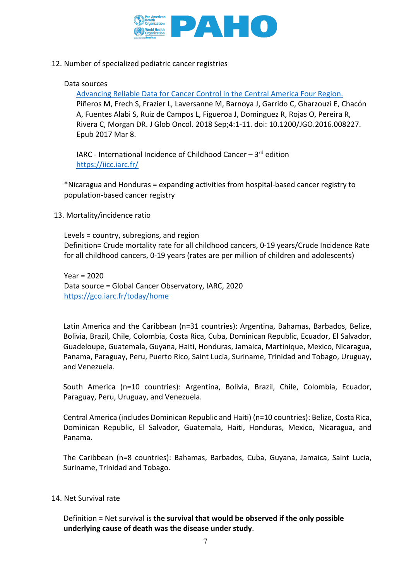

12. Number of specialized pediatric cancer registries

## Data sources

[Advancing Reliable Data for Cancer Control in the Central America Four Region.](https://pubmed.ncbi.nlm.nih.gov/30241165/)  Piñeros M, Frech S, Frazier L, Laversanne M, Barnoya J, Garrido C, Gharzouzi E, Chacón A, Fuentes Alabi S, Ruiz de Campos L, Figueroa J, Dominguez R, Rojas O, Pereira R, Rivera C, Morgan DR. J Glob Oncol. 2018 Sep;4:1-11. doi: 10.1200/JGO.2016.008227. Epub 2017 Mar 8.

IARC - International Incidence of Childhood Cancer  $-3$ <sup>rd</sup> edition <https://iicc.iarc.fr/>

\*Nicaragua and Honduras = expanding activities from hospital-based cancer registry to population-based cancer registry

13. Mortality/incidence ratio

Levels = country, subregions, and region Definition= Crude mortality rate for all childhood cancers, 0-19 years/Crude Incidence Rate for all childhood cancers, 0-19 years (rates are per million of children and adolescents)

Year = 2020 Data source = Global Cancer Observatory, IARC, 2020 <https://gco.iarc.fr/today/home>

Latin America and the Caribbean (n=31 countries): Argentina, Bahamas, Barbados, Belize, Bolivia, Brazil, Chile, Colombia, Costa Rica, Cuba, Dominican Republic, Ecuador, El Salvador, Guadeloupe, Guatemala, Guyana, Haiti, Honduras, Jamaica, Martinique, Mexico, Nicaragua, Panama, Paraguay, Peru, Puerto Rico, Saint Lucia, Suriname, Trinidad and Tobago, Uruguay, and Venezuela.

South America (n=10 countries): Argentina, Bolivia, Brazil, Chile, Colombia, Ecuador, Paraguay, Peru, Uruguay, and Venezuela.

Central America (includes Dominican Republic and Haiti) (n=10 countries): Belize, Costa Rica, Dominican Republic, El Salvador, Guatemala, Haiti, Honduras, Mexico, Nicaragua, and Panama.

The Caribbean (n=8 countries): Bahamas, Barbados, Cuba, Guyana, Jamaica, Saint Lucia, Suriname, Trinidad and Tobago.

14. Net Survival rate

Definition = Net survival is **the survival that would be observed if the only possible underlying cause of death was the disease under study**.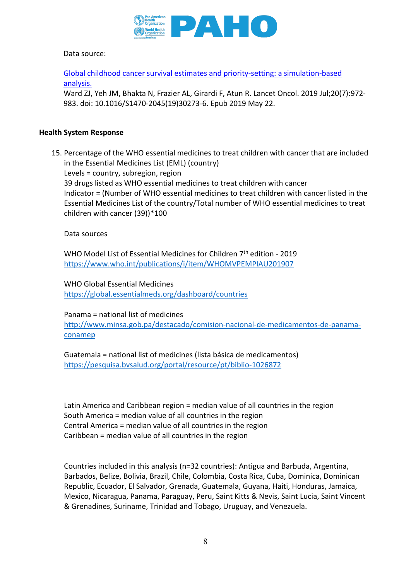

## Data source:

[Global childhood cancer survival estimates and priority-setting: a simulation-based](https://pubmed.ncbi.nlm.nih.gov/31129029/)  [analysis.](https://pubmed.ncbi.nlm.nih.gov/31129029/) 

Ward ZJ, Yeh JM, Bhakta N, Frazier AL, Girardi F, Atun R. Lancet Oncol. 2019 Jul;20(7):972- 983. doi: 10.1016/S1470-2045(19)30273-6. Epub 2019 May 22.

#### **Health System Response**

15. Percentage of the WHO essential medicines to treat children with cancer that are included in the Essential Medicines List (EML) (country) Levels = country, subregion, region 39 drugs listed as WHO essential medicines to treat children with cancer

Indicator = (Number of WHO essential medicines to treat children with cancer listed in the Essential Medicines List of the country/Total number of WHO essential medicines to treat children with cancer (39))\*100

Data sources

WHO Model List of Essential Medicines for Children 7<sup>th</sup> edition - 2019 <https://www.who.int/publications/i/item/WHOMVPEMPIAU201907>

WHO Global Essential Medicines <https://global.essentialmeds.org/dashboard/countries>

Panama = national list of medicines [http://www.minsa.gob.pa/destacado/comision-nacional-de-medicamentos-de-panama](http://www.minsa.gob.pa/destacado/comision-nacional-de-medicamentos-de-panama-conamep)[conamep](http://www.minsa.gob.pa/destacado/comision-nacional-de-medicamentos-de-panama-conamep)

Guatemala = national list of medicines (lista básica de medicamentos) <https://pesquisa.bvsalud.org/portal/resource/pt/biblio-1026872>

Latin America and Caribbean region = median value of all countries in the region South America = median value of all countries in the region Central America = median value of all countries in the region Caribbean = median value of all countries in the region

Countries included in this analysis (n=32 countries): Antigua and Barbuda, Argentina, Barbados, Belize, Bolivia, Brazil, Chile, Colombia, Costa Rica, Cuba, Dominica, Dominican Republic, Ecuador, El Salvador, Grenada, Guatemala, Guyana, Haiti, Honduras, Jamaica, Mexico, Nicaragua, Panama, Paraguay, Peru, Saint Kitts & Nevis, Saint Lucia, Saint Vincent & Grenadines, Suriname, Trinidad and Tobago, Uruguay, and Venezuela.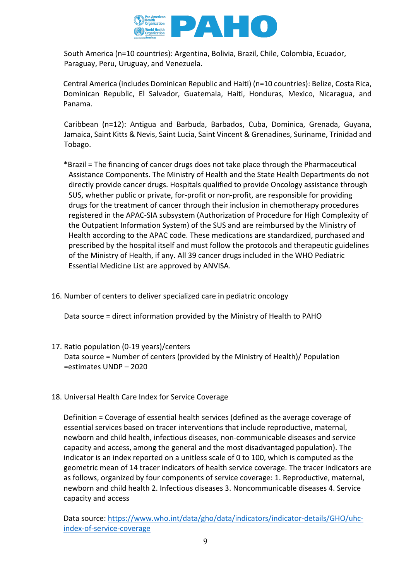

South America (n=10 countries): Argentina, Bolivia, Brazil, Chile, Colombia, Ecuador, Paraguay, Peru, Uruguay, and Venezuela.

Central America (includes Dominican Republic and Haiti) (n=10 countries): Belize, Costa Rica, Dominican Republic, El Salvador, Guatemala, Haiti, Honduras, Mexico, Nicaragua, and Panama.

Caribbean (n=12): Antigua and Barbuda, Barbados, Cuba, Dominica, Grenada, Guyana, Jamaica, Saint Kitts & Nevis, Saint Lucia, Saint Vincent & Grenadines, Suriname, Trinidad and Tobago.

- \*Brazil = The financing of cancer drugs does not take place through the Pharmaceutical Assistance Components. The Ministry of Health and the State Health Departments do not directly provide cancer drugs. Hospitals qualified to provide Oncology assistance through SUS, whether public or private, for-profit or non-profit, are responsible for providing drugs for the treatment of cancer through their inclusion in chemotherapy procedures registered in the APAC-SIA subsystem (Authorization of Procedure for High Complexity of the Outpatient Information System) of the SUS and are reimbursed by the Ministry of Health according to the APAC code. These medications are standardized, purchased and prescribed by the hospital itself and must follow the protocols and therapeutic guidelines of the Ministry of Health, if any. All 39 cancer drugs included in the WHO Pediatric Essential Medicine List are approved by ANVISA.
- 16. Number of centers to deliver specialized care in pediatric oncology

Data source = direct information provided by the Ministry of Health to PAHO

- 17. Ratio population (0-19 years)/centers Data source = Number of centers (provided by the Ministry of Health)/ Population =estimates UNDP – 2020
- 18. Universal Health Care Index for Service Coverage

Definition = Coverage of essential health services (defined as the average coverage of essential services based on tracer interventions that include reproductive, maternal, newborn and child health, infectious diseases, non-communicable diseases and service capacity and access, among the general and the most disadvantaged population). The indicator is an index reported on a unitless scale of 0 to 100, which is computed as the geometric mean of 14 tracer indicators of health service coverage. The tracer indicators are as follows, organized by four components of service coverage: 1. Reproductive, maternal, newborn and child health 2. Infectious diseases 3. Noncommunicable diseases 4. Service capacity and access

Data source: [https://www.who.int/data/gho/data/indicators/indicator-details/GHO/uhc](https://www.who.int/data/gho/data/indicators/indicator-details/GHO/uhc-index-of-service-coverage)[index-of-service-coverage](https://www.who.int/data/gho/data/indicators/indicator-details/GHO/uhc-index-of-service-coverage)